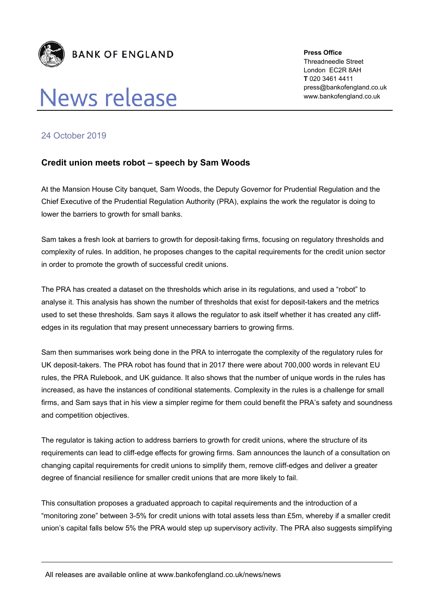

## **News release**

**Press Office**  Threadneedle Street London EC2R 8AH **T** 020 3461 4411 press@bankofengland.co.uk www.bankofengland.co.uk

## 24 October 2019

## **Credit union meets robot – speech by Sam Woods**

At the Mansion House City banquet, Sam Woods, the Deputy Governor for Prudential Regulation and the Chief Executive of the Prudential Regulation Authority (PRA), explains the work the regulator is doing to lower the barriers to growth for small banks.

Sam takes a fresh look at barriers to growth for deposit-taking firms, focusing on regulatory thresholds and complexity of rules. In addition, he proposes changes to the capital requirements for the credit union sector in order to promote the growth of successful credit unions.

The PRA has created a dataset on the thresholds which arise in its regulations, and used a "robot" to analyse it. This analysis has shown the number of thresholds that exist for deposit-takers and the metrics used to set these thresholds. Sam says it allows the regulator to ask itself whether it has created any cliffedges in its regulation that may present unnecessary barriers to growing firms.

Sam then summarises work being done in the PRA to interrogate the complexity of the regulatory rules for UK deposit-takers. The PRA robot has found that in 2017 there were about 700,000 words in relevant EU rules, the PRA Rulebook, and UK guidance. It also shows that the number of unique words in the rules has increased, as have the instances of conditional statements. Complexity in the rules is a challenge for small firms, and Sam says that in his view a simpler regime for them could benefit the PRA's safety and soundness and competition objectives.

The regulator is taking action to address barriers to growth for credit unions, where the structure of its requirements can lead to cliff-edge effects for growing firms. Sam announces the launch of a consultation on changing capital requirements for credit unions to simplify them, remove cliff-edges and deliver a greater degree of financial resilience for smaller credit unions that are more likely to fail.

This consultation proposes a graduated approach to capital requirements and the introduction of a "monitoring zone" between 3-5% for credit unions with total assets less than £5m, whereby if a smaller credit union's capital falls below 5% the PRA would step up supervisory activity. The PRA also suggests simplifying